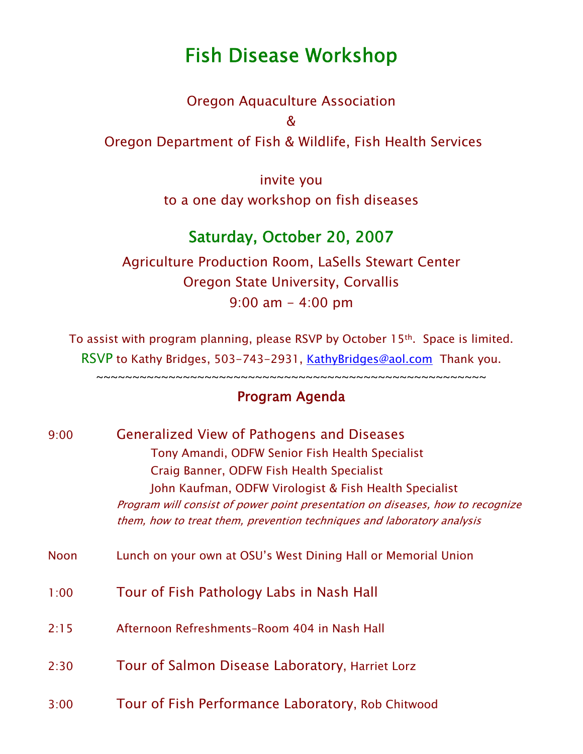## Fish Disease Workshop

Oregon Aquaculture Association & Oregon Department of Fish & Wildlife, Fish Health Services

> invite you to a one day workshop on fish diseases

## Saturday, October 20, 2007

Agriculture Production Room, LaSells Stewart Center Oregon State University, Corvallis 9:00 am - 4:00 pm

To assist with program planning, please RSVP by October 15th. Space is limited. RSVP to Kathy Bridges, 503-743-2931, [KathyBridges@aol.com](mailto:KathyBridges@aol.com) Thank you.

~~~~~~~~~~~~~~~~~~~~~~~~~~~~~~~~~~~~~~~~~~~~~~~~~~~~~~

## Program Agenda

| 9:00        | <b>Generalized View of Pathogens and Diseases</b>                              |
|-------------|--------------------------------------------------------------------------------|
|             | Tony Amandi, ODFW Senior Fish Health Specialist                                |
|             | Craig Banner, ODFW Fish Health Specialist                                      |
|             | John Kaufman, ODFW Virologist & Fish Health Specialist                         |
|             | Program will consist of power point presentation on diseases, how to recognize |
|             | them, how to treat them, prevention techniques and laboratory analysis         |
| <b>Noon</b> | Lunch on your own at OSU's West Dining Hall or Memorial Union                  |
| 1:00        | Tour of Fish Pathology Labs in Nash Hall                                       |
| 2:15        | Afternoon Refreshments-Room 404 in Nash Hall                                   |
| 2:30        | Tour of Salmon Disease Laboratory, Harriet Lorz                                |
| 3:00        | Tour of Fish Performance Laboratory, Rob Chitwood                              |